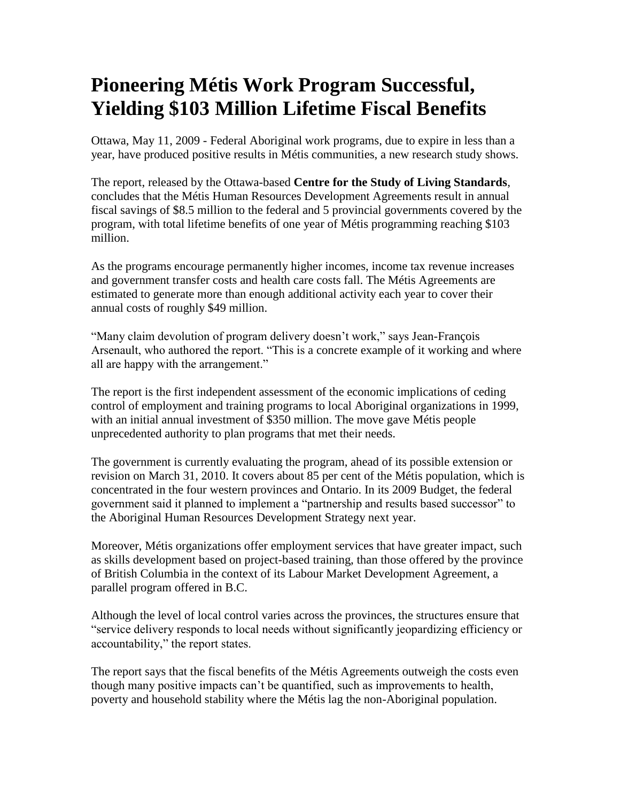## **Pioneering Métis Work Program Successful, Yielding \$103 Million Lifetime Fiscal Benefits**

Ottawa, May 11, 2009 - Federal Aboriginal work programs, due to expire in less than a year, have produced positive results in Métis communities, a new research study shows.

The report, released by the Ottawa-based **Centre for the Study of Living Standards**, concludes that the Métis Human Resources Development Agreements result in annual fiscal savings of \$8.5 million to the federal and 5 provincial governments covered by the program, with total lifetime benefits of one year of Métis programming reaching \$103 million.

As the programs encourage permanently higher incomes, income tax revenue increases and government transfer costs and health care costs fall. The Métis Agreements are estimated to generate more than enough additional activity each year to cover their annual costs of roughly \$49 million.

"Many claim devolution of program delivery doesn't work," says Jean-François Arsenault, who authored the report. "This is a concrete example of it working and where all are happy with the arrangement."

The report is the first independent assessment of the economic implications of ceding control of employment and training programs to local Aboriginal organizations in 1999, with an initial annual investment of \$350 million. The move gave Métis people unprecedented authority to plan programs that met their needs.

The government is currently evaluating the program, ahead of its possible extension or revision on March 31, 2010. It covers about 85 per cent of the Métis population, which is concentrated in the four western provinces and Ontario. In its 2009 Budget, the federal government said it planned to implement a "partnership and results based successor" to the Aboriginal Human Resources Development Strategy next year.

Moreover, Métis organizations offer employment services that have greater impact, such as skills development based on project-based training, than those offered by the province of British Columbia in the context of its Labour Market Development Agreement, a parallel program offered in B.C.

Although the level of local control varies across the provinces, the structures ensure that "service delivery responds to local needs without significantly jeopardizing efficiency or accountability," the report states.

The report says that the fiscal benefits of the Métis Agreements outweigh the costs even though many positive impacts can't be quantified, such as improvements to health, poverty and household stability where the Métis lag the non-Aboriginal population.